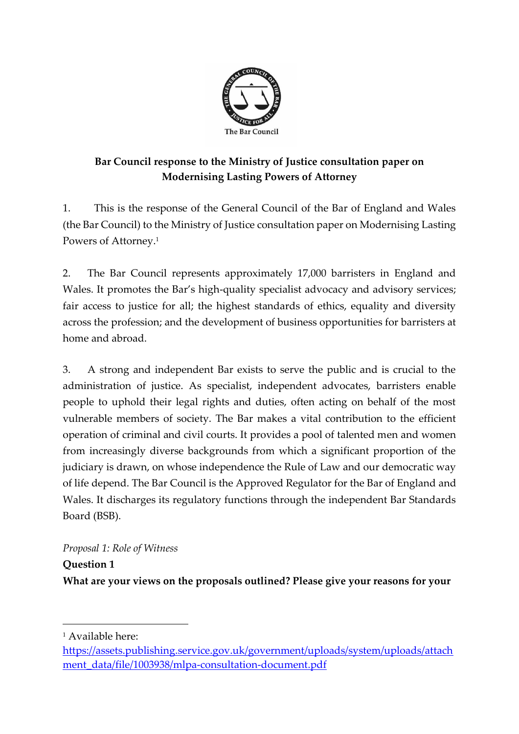

# **Bar Council response to the Ministry of Justice consultation paper on Modernising Lasting Powers of Attorney**

1. This is the response of the General Council of the Bar of England and Wales (the Bar Council) to the Ministry of Justice consultation paper on Modernising Lasting Powers of Attorney.<sup>1</sup>

2. The Bar Council represents approximately 17,000 barristers in England and Wales. It promotes the Bar's high-quality specialist advocacy and advisory services; fair access to justice for all; the highest standards of ethics, equality and diversity across the profession; and the development of business opportunities for barristers at home and abroad.

3. A strong and independent Bar exists to serve the public and is crucial to the administration of justice. As specialist, independent advocates, barristers enable people to uphold their legal rights and duties, often acting on behalf of the most vulnerable members of society. The Bar makes a vital contribution to the efficient operation of criminal and civil courts. It provides a pool of talented men and women from increasingly diverse backgrounds from which a significant proportion of the judiciary is drawn, on whose independence the Rule of Law and our democratic way of life depend. The Bar Council is the Approved Regulator for the Bar of England and Wales. It discharges its regulatory functions through the independent Bar Standards Board (BSB).

## *Proposal 1: Role of Witness*

**Question 1**

**What are your views on the proposals outlined? Please give your reasons for your** 

<sup>1</sup> Available here:

[https://assets.publishing.service.gov.uk/government/uploads/system/uploads/attach](https://assets.publishing.service.gov.uk/government/uploads/system/uploads/attachment_data/file/1003938/mlpa-consultation-document.pdf) [ment\\_data/file/1003938/mlpa-consultation-document.pdf](https://assets.publishing.service.gov.uk/government/uploads/system/uploads/attachment_data/file/1003938/mlpa-consultation-document.pdf)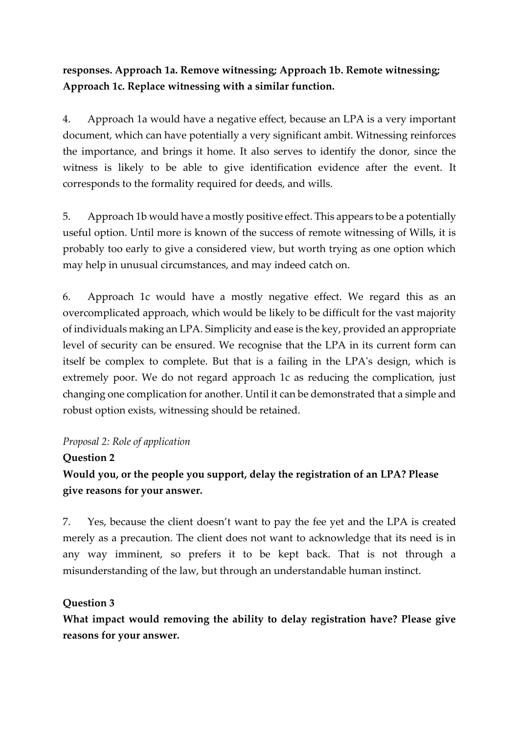## **responses. Approach 1a. Remove witnessing; Approach 1b. Remote witnessing; Approach 1c. Replace witnessing with a similar function.**

4. Approach 1a would have a negative effect, because an LPA is a very important document, which can have potentially a very significant ambit. Witnessing reinforces the importance, and brings it home. It also serves to identify the donor, since the witness is likely to be able to give identification evidence after the event. It corresponds to the formality required for deeds, and wills.

5. Approach 1b would have a mostly positive effect. This appears to be a potentially useful option. Until more is known of the success of remote witnessing of Wills, it is probably too early to give a considered view, but worth trying as one option which may help in unusual circumstances, and may indeed catch on.

6. Approach 1c would have a mostly negative effect. We regard this as an overcomplicated approach, which would be likely to be difficult for the vast majority of individuals making an LPA. Simplicity and ease is the key, provided an appropriate level of security can be ensured. We recognise that the LPA in its current form can itself be complex to complete. But that is a failing in the LPA's design, which is extremely poor. We do not regard approach 1c as reducing the complication, just changing one complication for another. Until it can be demonstrated that a simple and robust option exists, witnessing should be retained.

#### *Proposal 2: Role of application*

## **Question 2**

# **Would you, or the people you support, delay the registration of an LPA? Please give reasons for your answer.**

7. Yes, because the client doesn't want to pay the fee yet and the LPA is created merely as a precaution. The client does not want to acknowledge that its need is in any way imminent, so prefers it to be kept back. That is not through a misunderstanding of the law, but through an understandable human instinct.

## **Question 3**

**What impact would removing the ability to delay registration have? Please give reasons for your answer.**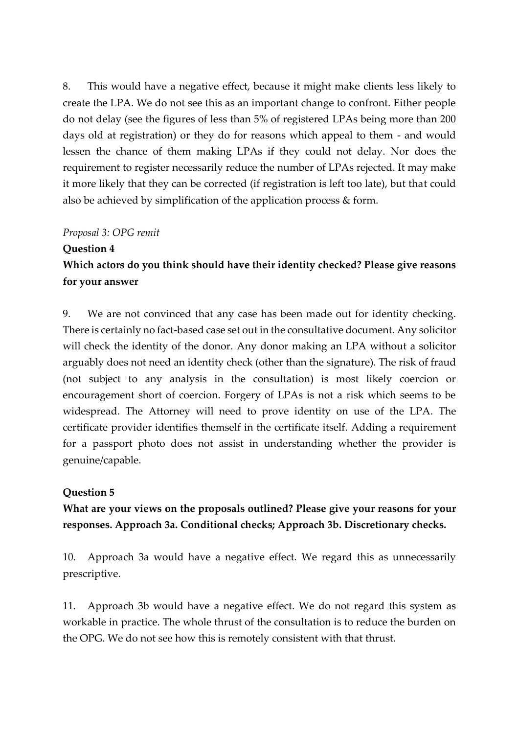8. This would have a negative effect, because it might make clients less likely to create the LPA. We do not see this as an important change to confront. Either people do not delay (see the figures of less than 5% of registered LPAs being more than 200 days old at registration) or they do for reasons which appeal to them - and would lessen the chance of them making LPAs if they could not delay. Nor does the requirement to register necessarily reduce the number of LPAs rejected. It may make it more likely that they can be corrected (if registration is left too late), but that could also be achieved by simplification of the application process & form.

#### *Proposal 3: OPG remit*

# **Question 4 Which actors do you think should have their identity checked? Please give reasons for your answer**

9. We are not convinced that any case has been made out for identity checking. There is certainly no fact-based case set out in the consultative document. Any solicitor will check the identity of the donor. Any donor making an LPA without a solicitor arguably does not need an identity check (other than the signature). The risk of fraud (not subject to any analysis in the consultation) is most likely coercion or encouragement short of coercion. Forgery of LPAs is not a risk which seems to be widespread. The Attorney will need to prove identity on use of the LPA. The certificate provider identifies themself in the certificate itself. Adding a requirement for a passport photo does not assist in understanding whether the provider is genuine/capable.

## **Question 5**

# **What are your views on the proposals outlined? Please give your reasons for your responses. Approach 3a. Conditional checks; Approach 3b. Discretionary checks.**

10. Approach 3a would have a negative effect. We regard this as unnecessarily prescriptive.

11. Approach 3b would have a negative effect. We do not regard this system as workable in practice. The whole thrust of the consultation is to reduce the burden on the OPG. We do not see how this is remotely consistent with that thrust.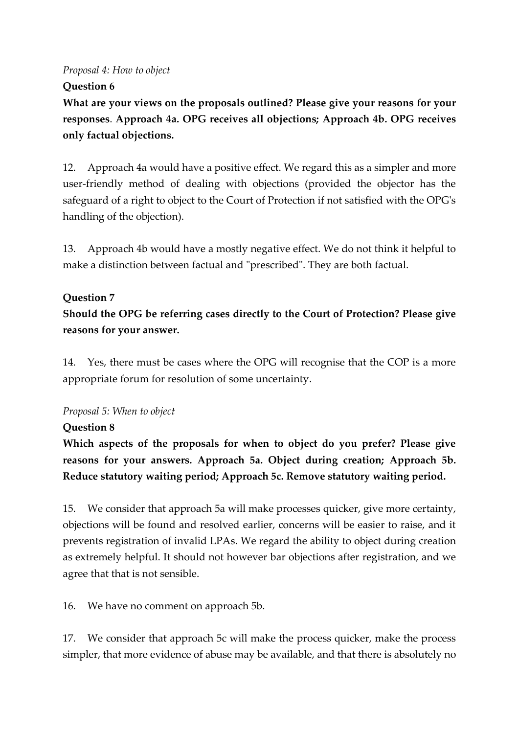#### *Proposal 4: How to object*

#### **Question 6**

**What are your views on the proposals outlined? Please give your reasons for your responses**. **Approach 4a. OPG receives all objections; Approach 4b. OPG receives only factual objections.**

12. Approach 4a would have a positive effect. We regard this as a simpler and more user-friendly method of dealing with objections (provided the objector has the safeguard of a right to object to the Court of Protection if not satisfied with the OPG's handling of the objection).

13. Approach 4b would have a mostly negative effect. We do not think it helpful to make a distinction between factual and "prescribed". They are both factual.

#### **Question 7**

**Should the OPG be referring cases directly to the Court of Protection? Please give reasons for your answer.**

14. Yes, there must be cases where the OPG will recognise that the COP is a more appropriate forum for resolution of some uncertainty.

#### *Proposal 5: When to object*

#### **Question 8**

**Which aspects of the proposals for when to object do you prefer? Please give reasons for your answers. Approach 5a. Object during creation; Approach 5b. Reduce statutory waiting period; Approach 5c. Remove statutory waiting period.**

15. We consider that approach 5a will make processes quicker, give more certainty, objections will be found and resolved earlier, concerns will be easier to raise, and it prevents registration of invalid LPAs. We regard the ability to object during creation as extremely helpful. It should not however bar objections after registration, and we agree that that is not sensible.

16. We have no comment on approach 5b.

17. We consider that approach 5c will make the process quicker, make the process simpler, that more evidence of abuse may be available, and that there is absolutely no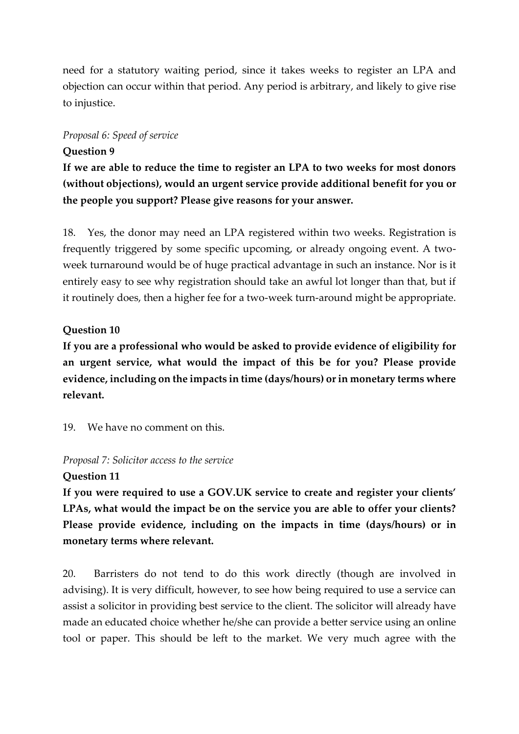need for a statutory waiting period, since it takes weeks to register an LPA and objection can occur within that period. Any period is arbitrary, and likely to give rise to injustice.

#### *Proposal 6: Speed of service*

#### **Question 9**

**If we are able to reduce the time to register an LPA to two weeks for most donors (without objections), would an urgent service provide additional benefit for you or the people you support? Please give reasons for your answer.**

18. Yes, the donor may need an LPA registered within two weeks. Registration is frequently triggered by some specific upcoming, or already ongoing event. A twoweek turnaround would be of huge practical advantage in such an instance. Nor is it entirely easy to see why registration should take an awful lot longer than that, but if it routinely does, then a higher fee for a two-week turn-around might be appropriate.

#### **Question 10**

**If you are a professional who would be asked to provide evidence of eligibility for an urgent service, what would the impact of this be for you? Please provide evidence, including on the impacts in time (days/hours) or in monetary terms where relevant.**

19. We have no comment on this.

#### *Proposal 7: Solicitor access to the service*

#### **Question 11**

**If you were required to use a GOV.UK service to create and register your clients' LPAs, what would the impact be on the service you are able to offer your clients? Please provide evidence, including on the impacts in time (days/hours) or in monetary terms where relevant.**

20. Barristers do not tend to do this work directly (though are involved in advising). It is very difficult, however, to see how being required to use a service can assist a solicitor in providing best service to the client. The solicitor will already have made an educated choice whether he/she can provide a better service using an online tool or paper. This should be left to the market. We very much agree with the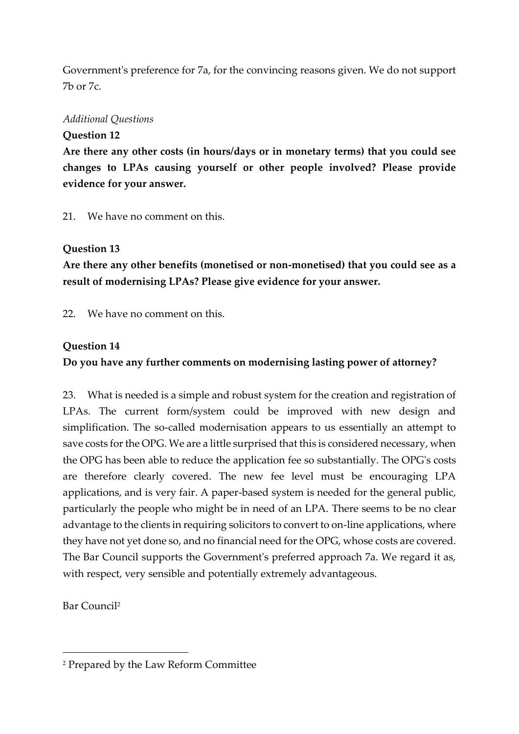Government's preference for 7a, for the convincing reasons given. We do not support 7b or 7c.

#### *Additional Questions*

#### **Question 12**

**Are there any other costs (in hours/days or in monetary terms) that you could see changes to LPAs causing yourself or other people involved? Please provide evidence for your answer.**

21. We have no comment on this.

#### **Question 13**

**Are there any other benefits (monetised or non-monetised) that you could see as a result of modernising LPAs? Please give evidence for your answer.**

22. We have no comment on this.

#### **Question 14**

## **Do you have any further comments on modernising lasting power of attorney?**

23. What is needed is a simple and robust system for the creation and registration of LPAs. The current form/system could be improved with new design and simplification. The so-called modernisation appears to us essentially an attempt to save costs for the OPG. We are a little surprised that this is considered necessary, when the OPG has been able to reduce the application fee so substantially. The OPG's costs are therefore clearly covered. The new fee level must be encouraging LPA applications, and is very fair. A paper-based system is needed for the general public, particularly the people who might be in need of an LPA. There seems to be no clear advantage to the clients in requiring solicitors to convert to on-line applications, where they have not yet done so, and no financial need for the OPG, whose costs are covered. The Bar Council supports the Government's preferred approach 7a. We regard it as, with respect, very sensible and potentially extremely advantageous.

Bar Council<sup>2</sup>

<sup>2</sup> Prepared by the Law Reform Committee